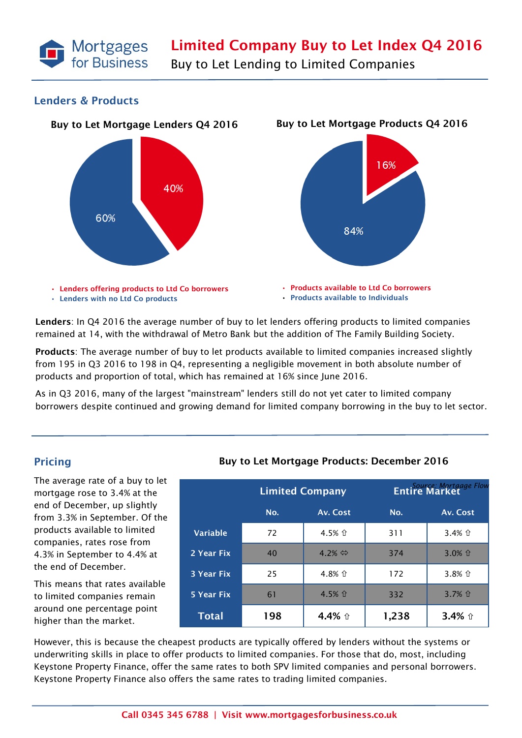

Buy to Let Lending to Limited Companies

### Lenders & Products



Lenders: In Q4 2016 the average number of buy to let lenders offering products to limited companies remained at 14, with the withdrawal of Metro Bank but the addition of The Family Building Society.

Products: The average number of buy to let products available to limited companies increased slightly from 195 in Q3 2016 to 198 in Q4, representing a negligible movement in both absolute number of products and proportion of total, which has remained at 16% since June 2016.

As in Q3 2016, many of the largest "mainstream" lenders still do not yet cater to limited company borrowers despite continued and growing demand for limited company borrowing in the buy to let sector.

## Pricing

The average rate of a buy to let mortgage rose to 3.4% at the end of December, up slightly from 3.3% in September. Of the products available to limited companies, rates rose from 4.3% in September to 4.4% at the end of December.

This means that rates available to limited companies remain around one percentage point higher than the market.

### Buy to Let Mortgage Products: December 2016

|                   | <b>Limited Company</b> |                        | <b>Entire Market</b> Flow |          |
|-------------------|------------------------|------------------------|---------------------------|----------|
|                   | No.                    | Av. Cost               | No.                       | Av. Cost |
| <b>Variable</b>   | 72                     | 4.5% 企                 | 311                       | 3.4% 企   |
| 2 Year Fix        | 40                     | 4.2% $\Leftrightarrow$ | 374                       | $3.0%$ û |
| <b>3 Year Fix</b> | 25                     | 4.8% 企                 | 172                       | 3.8% 企   |
| 5 Year Fix        | 61                     | 4.5% 企                 | 332                       | 3.7% 企   |
| <b>Total</b>      | 198                    | 4.4% û                 | 1,238                     | 3.4% 介   |

However, this is because the cheapest products are typically offered by lenders without the systems or underwriting skills in place to offer products to limited companies. For those that do, most, including Keystone Property Finance, offer the same rates to both SPV limited companies and personal borrowers. Keystone Property Finance also offers the same rates to trading limited companies.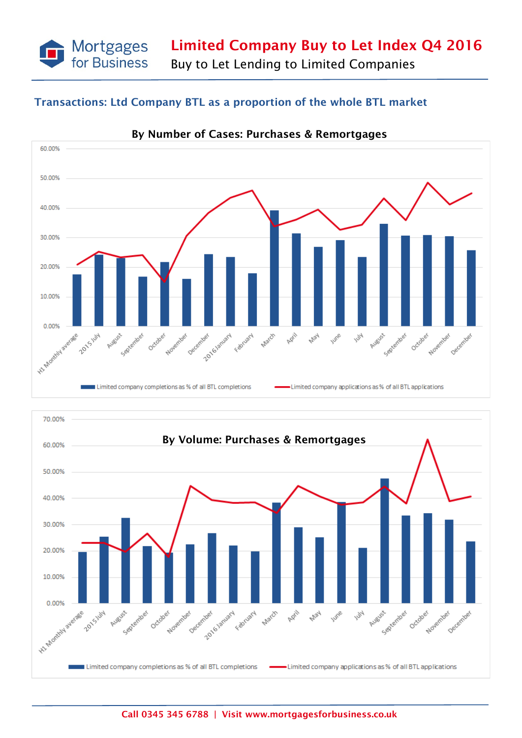Limited Company Buy to Let Index Q4 2016

Buy to Let Lending to Limited Companies

# Transactions: Ltd Company BTL as a proportion of the whole BTL market

Mortgages<br>for Business



By Number of Cases: Purchases & Remortgages

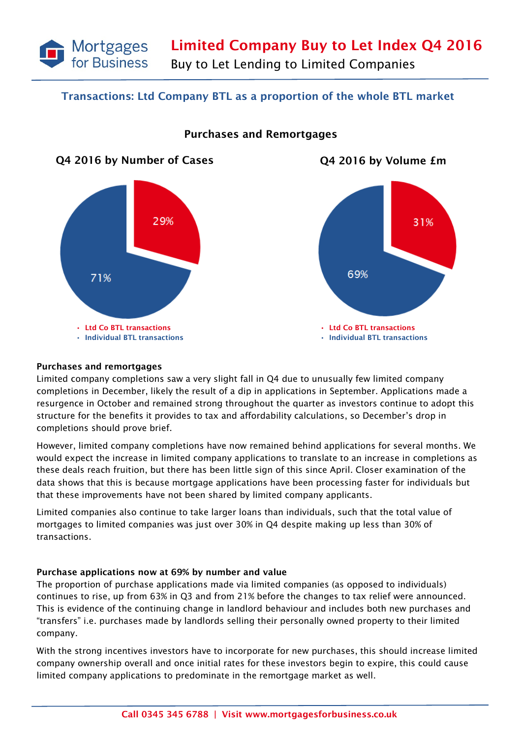

## Transactions: Ltd Company BTL as a proportion of the whole BTL market



## Purchases and Remortgages



#### Purchases and remortgages

Limited company completions saw a very slight fall in Q4 due to unusually few limited company completions in December, likely the result of a dip in applications in September. Applications made a resurgence in October and remained strong throughout the quarter as investors continue to adopt this structure for the benefits it provides to tax and affordability calculations, so December's drop in completions should prove brief.

However, limited company completions have now remained behind applications for several months. We would expect the increase in limited company applications to translate to an increase in completions as these deals reach fruition, but there has been little sign of this since April. Closer examination of the data shows that this is because mortgage applications have been processing faster for individuals but that these improvements have not been shared by limited company applicants.

Limited companies also continue to take larger loans than individuals, such that the total value of mortgages to limited companies was just over 30% in Q4 despite making up less than 30% of transactions.

### Purchase applications now at 69% by number and value

The proportion of purchase applications made via limited companies (as opposed to individuals) continues to rise, up from 63% in Q3 and from 21% before the changes to tax relief were announced. This is evidence of the continuing change in landlord behaviour and includes both new purchases and "transfers" i.e. purchases made by landlords selling their personally owned property to their limited company.

With the strong incentives investors have to incorporate for new purchases, this should increase limited company ownership overall and once initial rates for these investors begin to expire, this could cause limited company applications to predominate in the remortgage market as well.